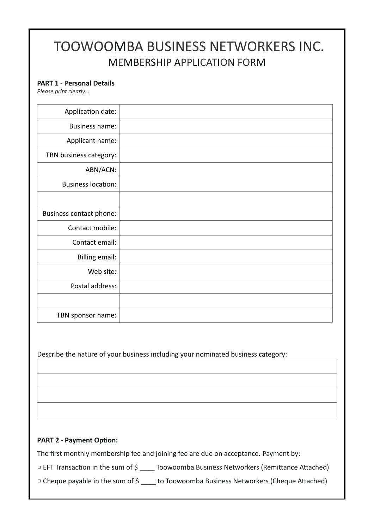## TOOWOOMBA BUSINESS NETWORKERS INC. MEMBERSHIP APPLICATION FORM

## **PART 1 - Personal Details**

*Please print clearly…*

| Application date:         |  |
|---------------------------|--|
| <b>Business name:</b>     |  |
| Applicant name:           |  |
| TBN business category:    |  |
| ABN/ACN:                  |  |
| <b>Business location:</b> |  |
|                           |  |
| Business contact phone:   |  |
| Contact mobile:           |  |
| Contact email:            |  |
| <b>Billing email:</b>     |  |
| Web site:                 |  |
| Postal address:           |  |
|                           |  |
| TBN sponsor name:         |  |

Describe the nature of your business including your nominated business category:

## **PART 2 - Payment Option:**

The first monthly membership fee and joining fee are due on acceptance. Payment by:

□ EFT Transaction in the sum of \$ \_\_\_\_ Toowoomba Business Networkers (Remittance Attached)

□ Cheque payable in the sum of \$ \_\_\_\_ to Toowoomba Business Networkers (Cheque Attached)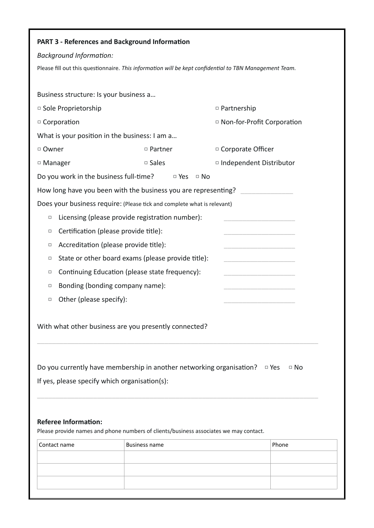|                                               | <b>PART 3 - References and Background Information</b>                                                                         |                                                                                                        |
|-----------------------------------------------|-------------------------------------------------------------------------------------------------------------------------------|--------------------------------------------------------------------------------------------------------|
| <b>Background Information:</b>                |                                                                                                                               |                                                                                                        |
|                                               |                                                                                                                               | Please fill out this questionnaire. This information will be kept confidential to TBN Management Team. |
|                                               |                                                                                                                               |                                                                                                        |
| Business structure: Is your business a        |                                                                                                                               |                                                                                                        |
| □ Sole Proprietorship                         |                                                                                                                               | $\Box$ Partnership                                                                                     |
| □ Corporation                                 |                                                                                                                               | □ Non-for-Profit Corporation                                                                           |
| What is your position in the business: I am a |                                                                                                                               |                                                                                                        |
| □ Owner                                       | □ Partner                                                                                                                     | □ Corporate Officer                                                                                    |
| □ Manager                                     | $\square$ Sales                                                                                                               | □ Independent Distributor                                                                              |
| Do you work in the business full-time?        | $\Box$ Yes                                                                                                                    | $\Box$ No                                                                                              |
|                                               |                                                                                                                               | How long have you been with the business you are representing?                                         |
|                                               | Does your business require: (Please tick and complete what is relevant)                                                       |                                                                                                        |
| □                                             | Licensing (please provide registration number):                                                                               |                                                                                                        |
| $\Box$                                        | Certification (please provide title):                                                                                         |                                                                                                        |
| □                                             | Accreditation (please provide title):                                                                                         |                                                                                                        |
| □                                             | State or other board exams (please provide title):                                                                            |                                                                                                        |
| □                                             | Continuing Education (please state frequency):                                                                                |                                                                                                        |
| □                                             | Bonding (bonding company name):                                                                                               |                                                                                                        |
| Other (please specify):<br>□                  |                                                                                                                               |                                                                                                        |
| If yes, please specify which organisation(s): | With what other business are you presently connected?<br>Do you currently have membership in another networking organisation? | $\Box$ Yes<br>$\Box$ No                                                                                |
|                                               |                                                                                                                               |                                                                                                        |
|                                               |                                                                                                                               |                                                                                                        |
| <b>Referee Information:</b>                   |                                                                                                                               |                                                                                                        |
|                                               | Please provide names and phone numbers of clients/business associates we may contact.                                         |                                                                                                        |
| Contact name                                  | Business name                                                                                                                 | Phone                                                                                                  |
|                                               |                                                                                                                               |                                                                                                        |
|                                               |                                                                                                                               |                                                                                                        |
|                                               |                                                                                                                               |                                                                                                        |